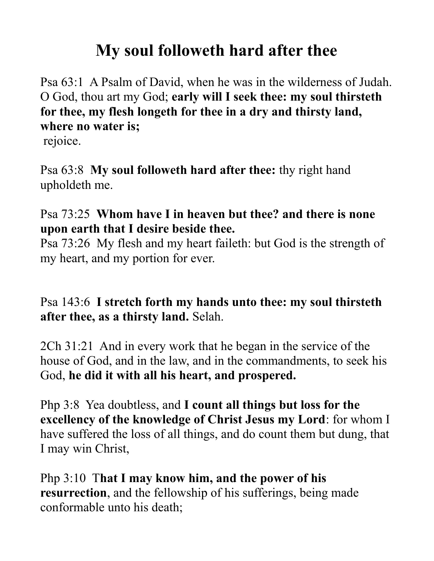# **My soul followeth hard after thee**

Psa 63:1 A Psalm of David, when he was in the wilderness of Judah. O God, thou art my God; **early will I seek thee: my soul thirsteth for thee, my flesh longeth for thee in a dry and thirsty land, where no water is;** 

rejoice.

Psa 63:8 **My soul followeth hard after thee:** thy right hand upholdeth me.

### Psa 73:25 **Whom have I in heaven but thee? and there is none upon earth that I desire beside thee.**

Psa 73:26 My flesh and my heart faileth: but God is the strength of my heart, and my portion for ever.

## Psa 143:6 **I stretch forth my hands unto thee: my soul thirsteth after thee, as a thirsty land.** Selah.

2Ch 31:21 And in every work that he began in the service of the house of God, and in the law, and in the commandments, to seek his God, **he did it with all his heart, and prospered.** 

Php 3:8 Yea doubtless, and **I count all things but loss for the excellency of the knowledge of Christ Jesus my Lord**: for whom I have suffered the loss of all things, and do count them but dung, that I may win Christ,

Php 3:10 T**hat I may know him, and the power of his resurrection**, and the fellowship of his sufferings, being made conformable unto his death;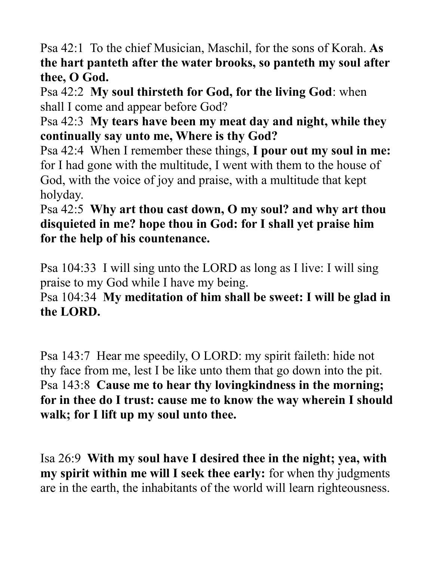Psa 42:1 To the chief Musician, Maschil, for the sons of Korah. **As the hart panteth after the water brooks, so panteth my soul after thee, O God.** 

Psa 42:2 **My soul thirsteth for God, for the living God**: when shall I come and appear before God?

Psa 42:3 **My tears have been my meat day and night, while they continually say unto me, Where is thy God?** 

Psa 42:4 When I remember these things, **I pour out my soul in me:** for I had gone with the multitude, I went with them to the house of God, with the voice of joy and praise, with a multitude that kept holyday.

### Psa 42:5 **Why art thou cast down, O my soul? and why art thou disquieted in me? hope thou in God: for I shall yet praise him for the help of his countenance.**

Psa 104:33 I will sing unto the LORD as long as I live: I will sing praise to my God while I have my being.

### Psa 104:34 **My meditation of him shall be sweet: I will be glad in the LORD.**

Psa 143:7 Hear me speedily, O LORD: my spirit faileth: hide not thy face from me, lest I be like unto them that go down into the pit. Psa 143:8 **Cause me to hear thy lovingkindness in the morning; for in thee do I trust: cause me to know the way wherein I should walk; for I lift up my soul unto thee.** 

Isa 26:9 **With my soul have I desired thee in the night; yea, with my spirit within me will I seek thee early:** for when thy judgments are in the earth, the inhabitants of the world will learn righteousness.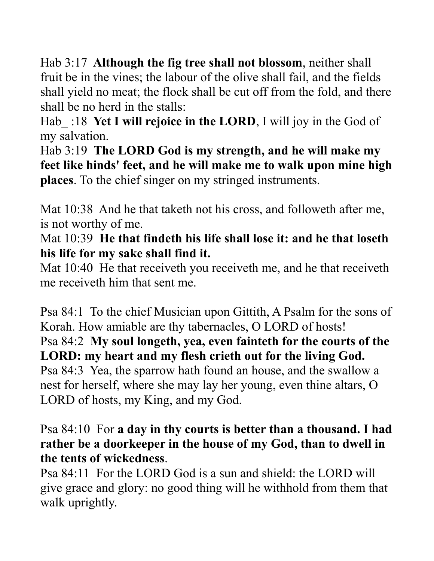Hab 3:17 **Although the fig tree shall not blossom**, neither shall fruit be in the vines; the labour of the olive shall fail, and the fields shall yield no meat; the flock shall be cut off from the fold, and there shall be no herd in the stalls:

Hab :18 **Yet I will rejoice in the LORD**, I will joy in the God of my salvation.

Hab 3:19 **The LORD God is my strength, and he will make my feet like hinds' feet, and he will make me to walk upon mine high places**. To the chief singer on my stringed instruments.

Mat 10:38 And he that taketh not his cross, and followeth after me, is not worthy of me.

Mat 10:39 **He that findeth his life shall lose it: and he that loseth his life for my sake shall find it.** 

Mat 10:40 He that receiveth you receiveth me, and he that receiveth me receiveth him that sent me.

Psa 84:1 To the chief Musician upon Gittith, A Psalm for the sons of Korah. How amiable are thy tabernacles, O LORD of hosts! Psa 84:2 **My soul longeth, yea, even fainteth for the courts of the LORD: my heart and my flesh crieth out for the living God.**  Psa 84:3 Yea, the sparrow hath found an house, and the swallow a nest for herself, where she may lay her young, even thine altars, O LORD of hosts, my King, and my God.

#### Psa 84:10 For **a day in thy courts is better than a thousand. I had rather be a doorkeeper in the house of my God, than to dwell in the tents of wickedness**.

Psa 84:11 For the LORD God is a sun and shield: the LORD will give grace and glory: no good thing will he withhold from them that walk uprightly.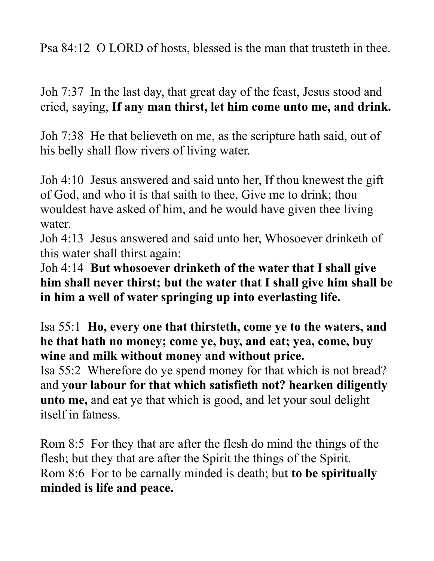Psa 84:12 O LORD of hosts, blessed is the man that trusteth in thee.

Joh 7:37 In the last day, that great day of the feast, Jesus stood and cried, saying, **If any man thirst, let him come unto me, and drink.**

Joh 7:38 He that believeth on me, as the scripture hath said, out of his belly shall flow rivers of living water.

Joh 4:10 Jesus answered and said unto her, If thou knewest the gift of God, and who it is that saith to thee, Give me to drink; thou wouldest have asked of him, and he would have given thee living water.

Joh 4:13 Jesus answered and said unto her, Whosoever drinketh of this water shall thirst again:

Joh 4:14 **But whosoever drinketh of the water that I shall give him shall never thirst; but the water that I shall give him shall be in him a well of water springing up into everlasting life.** 

Isa 55:1 **Ho, every one that thirsteth, come ye to the waters, and he that hath no money; come ye, buy, and eat; yea, come, buy wine and milk without money and without price.** 

Isa 55:2 Wherefore do ye spend money for that which is not bread? and y**our labour for that which satisfieth not? hearken diligently unto me,** and eat ye that which is good, and let your soul delight itself in fatness.

Rom 8:5 For they that are after the flesh do mind the things of the flesh; but they that are after the Spirit the things of the Spirit. Rom 8:6 For to be carnally minded is death; but **to be spiritually minded is life and peace.**